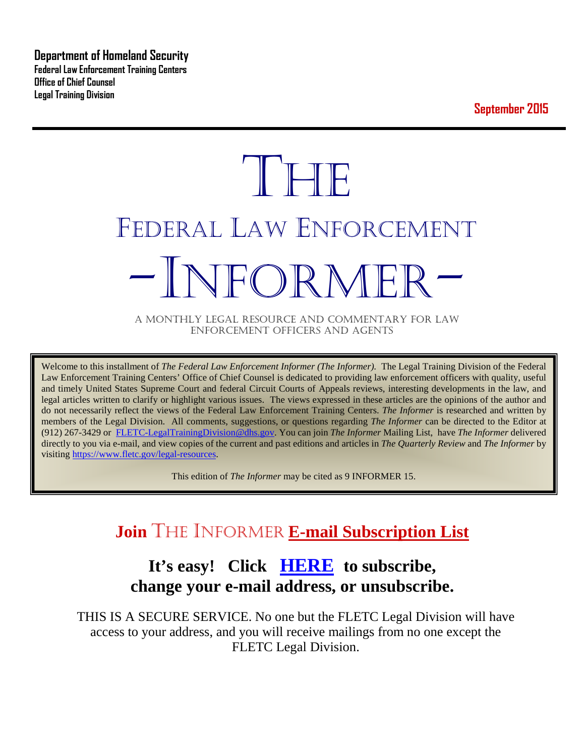**Department of Homeland Security Federal Law Enforcement Training Centers Office of Chief Counsel Legal Training Division** 

**September 2015**

# **THE** FEDERAL LAW ENFORCEMENT -INFORMER- A MONTHLY LEGAL RESOURCE AND COMMENTARY FOR LAW

ENFORCEMENT OFFICERS AND AGENTS

Welcome to this installment of *The Federal Law Enforcement Informer (The Informer).* The Legal Training Division of the Federal Law Enforcement Training Centers' Office of Chief Counsel is dedicated to providing law enforcement officers with quality, useful and timely United States Supreme Court and federal Circuit Courts of Appeals reviews, interesting developments in the law, and legal articles written to clarify or highlight various issues. The views expressed in these articles are the opinions of the author and do not necessarily reflect the views of the Federal Law Enforcement Training Centers. *The Informer* is researched and written by members of the Legal Division. All comments, suggestions, or questions regarding *The Informer* can be directed to the Editor at (912) 267-3429 or [FLETC-LegalTrainingDivision@dhs.gov.](mailto:FLETC-LegalTrainingDivision@dhs.gov) You can join *The Informer* Mailing List, have *The Informer* delivered directly to you via e-mail, and view copies of the current and past editions and articles in *The Quarterly Review* and *The Informer* by visiting [https://www.fletc.gov/legal-resources.](https://www.fletc.gov/legal-resources) 

This edition of *The Informer* may be cited as 9 INFORMER 15.

# **Join** THE INFORMER **E-mail Subscription List**

# **It's easy! Click [HERE](http://peach.ease.lsoft.com/scripts/wa.exe?SUBED1=fletclgd&A=1) to subscribe, change your e-mail address, or unsubscribe.**

THIS IS A SECURE SERVICE. No one but the FLETC Legal Division will have access to your address, and you will receive mailings from no one except the FLETC Legal Division.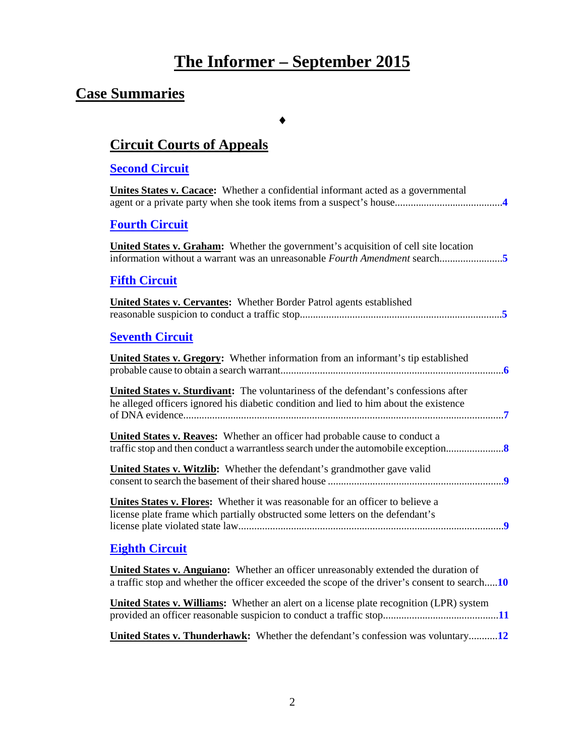# **The Informer – September 2015**

# **Case Summaries**

♦

# **[Circuit Courts of Appeals](#page-3-0)**

#### **[Second Circuit](#page-3-1)**

| Unites States v. Cacace: Whether a confidential informant acted as a governmental                                                                                             |
|-------------------------------------------------------------------------------------------------------------------------------------------------------------------------------|
| <b>Fourth Circuit</b>                                                                                                                                                         |
| <b>United States v. Graham:</b> Whether the government's acquisition of cell site location                                                                                    |
| <b>Fifth Circuit</b>                                                                                                                                                          |
| <b>United States v. Cervantes:</b> Whether Border Patrol agents established                                                                                                   |
| <b>Seventh Circuit</b>                                                                                                                                                        |
| <b>United States v. Gregory:</b> Whether information from an informant's tip established                                                                                      |
| United States v. Sturdivant: The voluntariness of the defendant's confessions after<br>he alleged officers ignored his diabetic condition and lied to him about the existence |
| <b>United States v. Reaves:</b> Whether an officer had probable cause to conduct a<br>traffic stop and then conduct a warrantless search under the automobile exception       |
| <b>United States v. Witzlib:</b> Whether the defendant's grandmother gave valid                                                                                               |
| Unites States v. Flores: Whether it was reasonable for an officer to believe a<br>license plate frame which partially obstructed some letters on the defendant's              |
| <b>Fighth Circuit</b>                                                                                                                                                         |

#### **[Eighth Circuit](#page-9-0)**

| <b>United States v. Anguiano:</b> Whether an officer unreasonably extended the duration of<br>a traffic stop and whether the officer exceeded the scope of the driver's consent to search10 |  |
|---------------------------------------------------------------------------------------------------------------------------------------------------------------------------------------------|--|
| <b>United States v. Williams:</b> Whether an alert on a license plate recognition (LPR) system                                                                                              |  |
| United States v. Thunderhawk: Whether the defendant's confession was voluntary12                                                                                                            |  |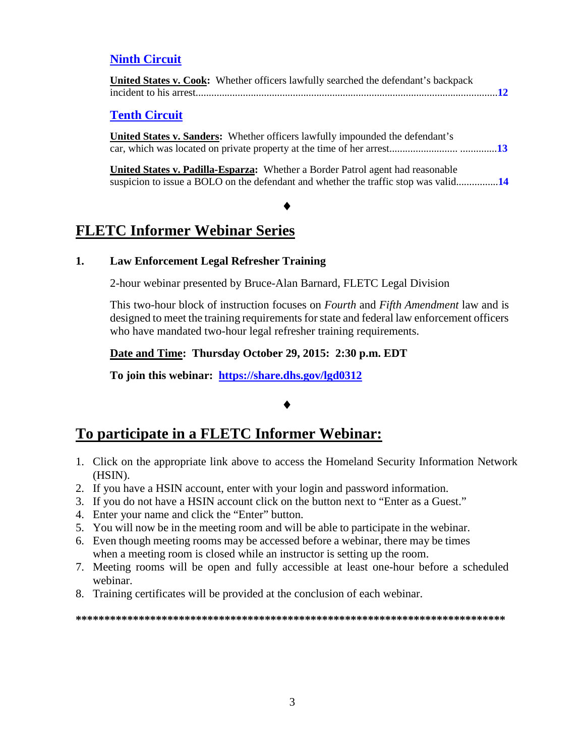#### **[Ninth Circuit](#page-11-1)**

| United States v. Cook: Whether officers lawfully searched the defendant's backpack |  |
|------------------------------------------------------------------------------------|--|
|                                                                                    |  |

#### **[Tenth Circuit](#page-12-0)**

**United States v. Sanders:** Whether officers lawfully impounded the defendant's car, which was located on private property at the time of her arrest.......................... ..............**[13](#page-12-1)**

**United States v. Padilla-Esparza:** Whether a Border Patrol agent had reasonable suspicion to issue a BOLO on the defendant and whether the traffic stop was valid................**[14](#page-13-0)**

# ♦

## **FLETC Informer Webinar Series**

#### **1. Law Enforcement Legal Refresher Training**

2-hour webinar presented by Bruce-Alan Barnard, FLETC Legal Division

This two-hour block of instruction focuses on *Fourth* and *Fifth Amendment* law and is designed to meet the training requirements for state and federal law enforcement officers who have mandated two-hour legal refresher training requirements.

**Date and Time: Thursday October 29, 2015: 2:30 p.m. EDT** 

**To join this webinar: <https://share.dhs.gov/lgd0312>**

#### ♦

### **To participate in a FLETC Informer Webinar:**

- 1. Click on the appropriate link above to access the Homeland Security Information Network (HSIN).
- 2. If you have a HSIN account, enter with your login and password information.
- 3. If you do not have a HSIN account click on the button next to "Enter as a Guest."
- 4. Enter your name and click the "Enter" button.
- 5. You will now be in the meeting room and will be able to participate in the webinar.
- 6. Even though meeting rooms may be accessed before a webinar, there may be times when a meeting room is closed while an instructor is setting up the room.
- 7. Meeting rooms will be open and fully accessible at least one-hour before a scheduled webinar.
- 8. Training certificates will be provided at the conclusion of each webinar.

#### **\*\*\*\*\*\*\*\*\*\*\*\*\*\*\*\*\*\*\*\*\*\*\*\*\*\*\*\*\*\*\*\*\*\*\*\*\*\*\*\*\*\*\*\*\*\*\*\*\*\*\*\*\*\*\*\*\*\*\*\*\*\*\*\*\*\*\*\*\*\*\*\*\*\*\***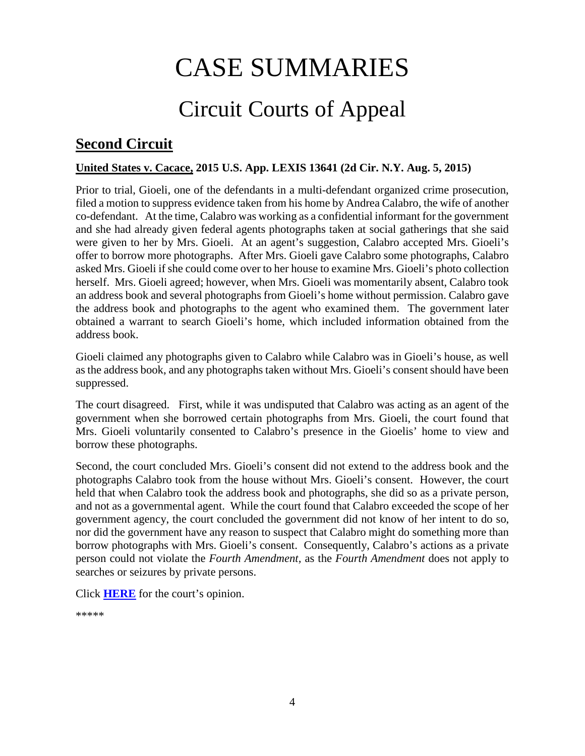# CASE SUMMARIES

# Circuit Courts of Appeal

# <span id="page-3-1"></span><span id="page-3-0"></span>**Second Circuit**

#### <span id="page-3-2"></span>**United States v. Cacace, 2015 U.S. App. LEXIS 13641 (2d Cir. N.Y. Aug. 5, 2015)**

Prior to trial, Gioeli, one of the defendants in a multi-defendant organized crime prosecution, filed a motion to suppress evidence taken from his home by Andrea Calabro, the wife of another co-defendant. At the time, Calabro was working as a confidential informant for the government and she had already given federal agents photographs taken at social gatherings that she said were given to her by Mrs. Gioeli. At an agent's suggestion, Calabro accepted Mrs. Gioeli's offer to borrow more photographs. After Mrs. Gioeli gave Calabro some photographs, Calabro asked Mrs. Gioeli if she could come over to her house to examine Mrs. Gioeli's photo collection herself. Mrs. Gioeli agreed; however, when Mrs. Gioeli was momentarily absent, Calabro took an address book and several photographs from Gioeli's home without permission. Calabro gave the address book and photographs to the agent who examined them. The government later obtained a warrant to search Gioeli's home, which included information obtained from the address book.

Gioeli claimed any photographs given to Calabro while Calabro was in Gioeli's house, as well as the address book, and any photographs taken without Mrs. Gioeli's consent should have been suppressed.

The court disagreed. First, while it was undisputed that Calabro was acting as an agent of the government when she borrowed certain photographs from Mrs. Gioeli, the court found that Mrs. Gioeli voluntarily consented to Calabro's presence in the Gioelis' home to view and borrow these photographs.

Second, the court concluded Mrs. Gioeli's consent did not extend to the address book and the photographs Calabro took from the house without Mrs. Gioeli's consent. However, the court held that when Calabro took the address book and photographs, she did so as a private person, and not as a governmental agent. While the court found that Calabro exceeded the scope of her government agency, the court concluded the government did not know of her intent to do so, nor did the government have any reason to suspect that Calabro might do something more than borrow photographs with Mrs. Gioeli's consent. Consequently, Calabro's actions as a private person could not violate the *Fourth Amendment,* as the *Fourth Amendment* does not apply to searches or seizures by private persons.

Click **[HERE](http://cases.justia.com/federal/appellate-courts/ca2/14-903/14-903-2015-08-05.pdf?ts=1438785004)** for the court's opinion.

\*\*\*\*\*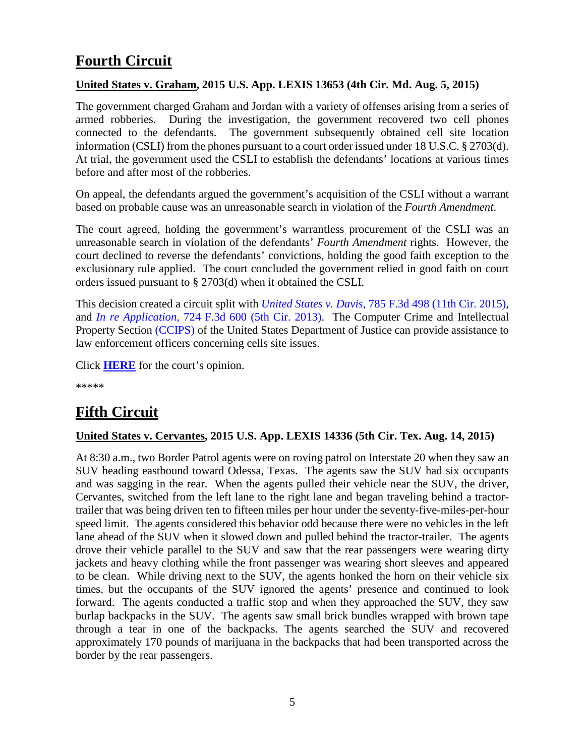# <span id="page-4-0"></span>**Fourth Circuit**

#### <span id="page-4-1"></span>**United States v. Graham, 2015 U.S. App. LEXIS 13653 (4th Cir. Md. Aug. 5, 2015)**

The government charged Graham and Jordan with a variety of offenses arising from a series of armed robberies. During the investigation, the government recovered two cell phones connected to the defendants. The government subsequently obtained cell site location information (CSLI) from the phones pursuant to a court order issued under 18 U.S.C. § 2703(d). At trial, the government used the CSLI to establish the defendants' locations at various times before and after most of the robberies.

On appeal, the defendants argued the government's acquisition of the CSLI without a warrant based on probable cause was an unreasonable search in violation of the *Fourth Amendment*.

The court agreed, holding the government's warrantless procurement of the CSLI was an unreasonable search in violation of the defendants' *Fourth Amendment* rights. However, the court declined to reverse the defendants' convictions, holding the good faith exception to the exclusionary rule applied. The court concluded the government relied in good faith on court orders issued pursuant to § 2703(d) when it obtained the CSLI.

This decision created a circuit split with *United States v. Davis*[, 785 F.3d 498 \(11th Cir. 2015\),](http://cases.justia.com/federal/appellate-courts/ca11/12-12928/12-12928-2015-05-05.pdf?ts=1430834472) and *In re Application*[, 724 F.3d 600 \(5th Cir. 2013\).](http://cases.justia.com/federal/appellate-courts/ca5/11-20884/11-20884-2013-07-30.pdf?ts=1411002733) The Computer Crime and Intellectual Property Section [\(CCIPS\)](http://www.justice.gov/criminal-ccips) of the United States Department of Justice can provide assistance to law enforcement officers concerning cells site issues.

Click **[HERE](http://cases.justia.com/federal/appellate-courts/ca4/12-4659/12-4659-2015-08-05.pdf?ts=1438801232)** for the court's opinion.

\*\*\*\*\*

# <span id="page-4-2"></span>**Fifth Circuit**

#### <span id="page-4-3"></span>**United States v. Cervantes, 2015 U.S. App. LEXIS 14336 (5th Cir. Tex. Aug. 14, 2015)**

At 8:30 a.m., two Border Patrol agents were on roving patrol on Interstate 20 when they saw an SUV heading eastbound toward Odessa, Texas. The agents saw the SUV had six occupants and was sagging in the rear. When the agents pulled their vehicle near the SUV, the driver, Cervantes, switched from the left lane to the right lane and began traveling behind a tractortrailer that was being driven ten to fifteen miles per hour under the seventy-five-miles-per-hour speed limit. The agents considered this behavior odd because there were no vehicles in the left lane ahead of the SUV when it slowed down and pulled behind the tractor-trailer. The agents drove their vehicle parallel to the SUV and saw that the rear passengers were wearing dirty jackets and heavy clothing while the front passenger was wearing short sleeves and appeared to be clean. While driving next to the SUV, the agents honked the horn on their vehicle six times, but the occupants of the SUV ignored the agents' presence and continued to look forward. The agents conducted a traffic stop and when they approached the SUV, they saw burlap backpacks in the SUV. The agents saw small brick bundles wrapped with brown tape through a tear in one of the backpacks. The agents searched the SUV and recovered approximately 170 pounds of marijuana in the backpacks that had been transported across the border by the rear passengers.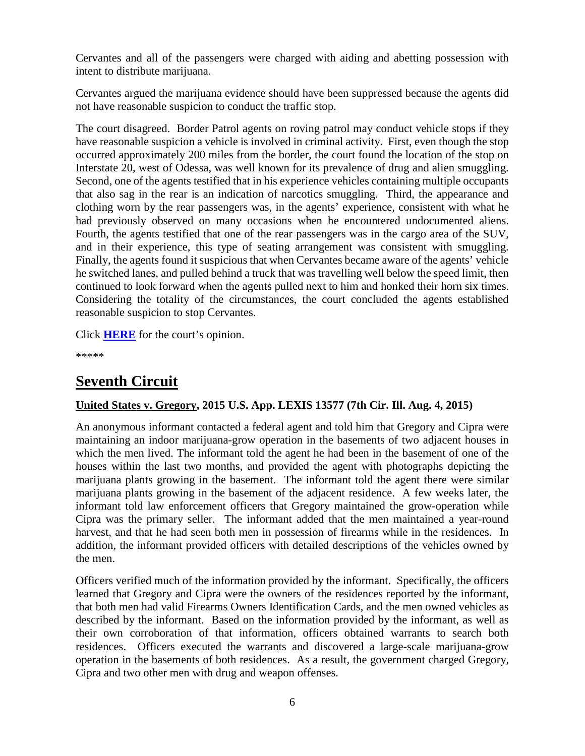Cervantes and all of the passengers were charged with aiding and abetting possession with intent to distribute marijuana.

Cervantes argued the marijuana evidence should have been suppressed because the agents did not have reasonable suspicion to conduct the traffic stop.

The court disagreed. Border Patrol agents on roving patrol may conduct vehicle stops if they have reasonable suspicion a vehicle is involved in criminal activity. First, even though the stop occurred approximately 200 miles from the border, the court found the location of the stop on Interstate 20, west of Odessa, was well known for its prevalence of drug and alien smuggling. Second, one of the agents testified that in his experience vehicles containing multiple occupants that also sag in the rear is an indication of narcotics smuggling. Third, the appearance and clothing worn by the rear passengers was, in the agents' experience, consistent with what he had previously observed on many occasions when he encountered undocumented aliens. Fourth, the agents testified that one of the rear passengers was in the cargo area of the SUV, and in their experience, this type of seating arrangement was consistent with smuggling. Finally, the agents found it suspicious that when Cervantes became aware of the agents' vehicle he switched lanes, and pulled behind a truck that was travelling well below the speed limit, then continued to look forward when the agents pulled next to him and honked their horn six times. Considering the totality of the circumstances, the court concluded the agents established reasonable suspicion to stop Cervantes.

Click **[HERE](http://cases.justia.com/federal/appellate-courts/ca5/14-50208/14-50208-2015-08-14.pdf?ts=1439595141)** for the court's opinion.

\*\*\*\*\*

## <span id="page-5-0"></span>**Seventh Circuit**

#### <span id="page-5-1"></span>**United States v. Gregory, 2015 U.S. App. LEXIS 13577 (7th Cir. Ill. Aug. 4, 2015)**

An anonymous informant contacted a federal agent and told him that Gregory and Cipra were maintaining an indoor marijuana-grow operation in the basements of two adjacent houses in which the men lived. The informant told the agent he had been in the basement of one of the houses within the last two months, and provided the agent with photographs depicting the marijuana plants growing in the basement. The informant told the agent there were similar marijuana plants growing in the basement of the adjacent residence. A few weeks later, the informant told law enforcement officers that Gregory maintained the grow-operation while Cipra was the primary seller. The informant added that the men maintained a year-round harvest, and that he had seen both men in possession of firearms while in the residences. In addition, the informant provided officers with detailed descriptions of the vehicles owned by the men.

Officers verified much of the information provided by the informant. Specifically, the officers learned that Gregory and Cipra were the owners of the residences reported by the informant, that both men had valid Firearms Owners Identification Cards, and the men owned vehicles as described by the informant. Based on the information provided by the informant, as well as their own corroboration of that information, officers obtained warrants to search both residences. Officers executed the warrants and discovered a large-scale marijuana-grow operation in the basements of both residences. As a result, the government charged Gregory, Cipra and two other men with drug and weapon offenses.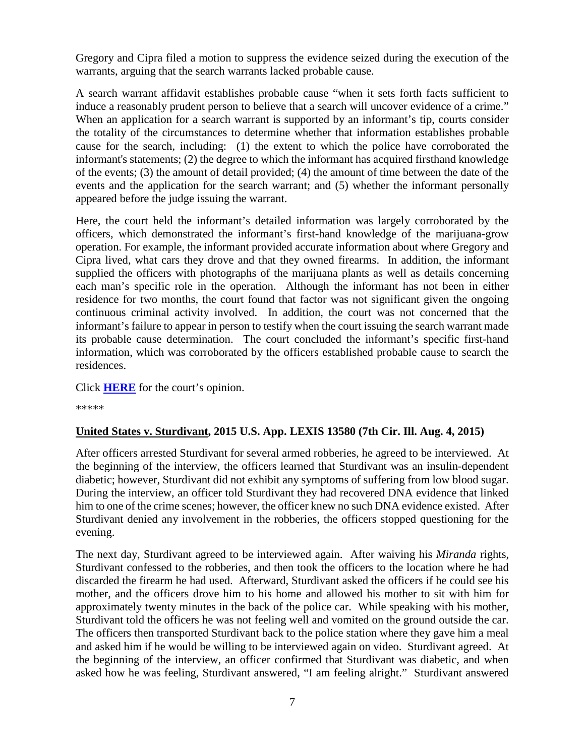Gregory and Cipra filed a motion to suppress the evidence seized during the execution of the warrants, arguing that the search warrants lacked probable cause.

A search warrant affidavit establishes probable cause "when it sets forth facts sufficient to induce a reasonably prudent person to believe that a search will uncover evidence of a crime." When an application for a search warrant is supported by an informant's tip, courts consider the totality of the circumstances to determine whether that information establishes probable cause for the search, including: (1) the extent to which the police have corroborated the informant's statements; (2) the degree to which the informant has acquired firsthand knowledge of the events; (3) the amount of detail provided; (4) the amount of time between the date of the events and the application for the search warrant; and (5) whether the informant personally appeared before the judge issuing the warrant.

Here, the court held the informant's detailed information was largely corroborated by the officers, which demonstrated the informant's first-hand knowledge of the marijuana-grow operation. For example, the informant provided accurate information about where Gregory and Cipra lived, what cars they drove and that they owned firearms. In addition, the informant supplied the officers with photographs of the marijuana plants as well as details concerning each man's specific role in the operation. Although the informant has not been in either residence for two months, the court found that factor was not significant given the ongoing continuous criminal activity involved. In addition, the court was not concerned that the informant's failure to appear in person to testify when the court issuing the search warrant made its probable cause determination. The court concluded the informant's specific first-hand information, which was corroborated by the officers established probable cause to search the residences.

Click **[HERE](http://cases.justia.com/federal/appellate-courts/ca7/14-2747/14-2747-2015-08-04.pdf?ts=1438721102)** for the court's opinion.

\*\*\*\*\*

#### <span id="page-6-0"></span>**United States v. Sturdivant, 2015 U.S. App. LEXIS 13580 (7th Cir. Ill. Aug. 4, 2015)**

After officers arrested Sturdivant for several armed robberies, he agreed to be interviewed. At the beginning of the interview, the officers learned that Sturdivant was an insulin-dependent diabetic; however, Sturdivant did not exhibit any symptoms of suffering from low blood sugar. During the interview, an officer told Sturdivant they had recovered DNA evidence that linked him to one of the crime scenes; however, the officer knew no such DNA evidence existed. After Sturdivant denied any involvement in the robberies, the officers stopped questioning for the evening.

The next day, Sturdivant agreed to be interviewed again. After waiving his *Miranda* rights, Sturdivant confessed to the robberies, and then took the officers to the location where he had discarded the firearm he had used. Afterward, Sturdivant asked the officers if he could see his mother, and the officers drove him to his home and allowed his mother to sit with him for approximately twenty minutes in the back of the police car. While speaking with his mother, Sturdivant told the officers he was not feeling well and vomited on the ground outside the car. The officers then transported Sturdivant back to the police station where they gave him a meal and asked him if he would be willing to be interviewed again on video. Sturdivant agreed. At the beginning of the interview, an officer confirmed that Sturdivant was diabetic, and when asked how he was feeling, Sturdivant answered, "I am feeling alright." Sturdivant answered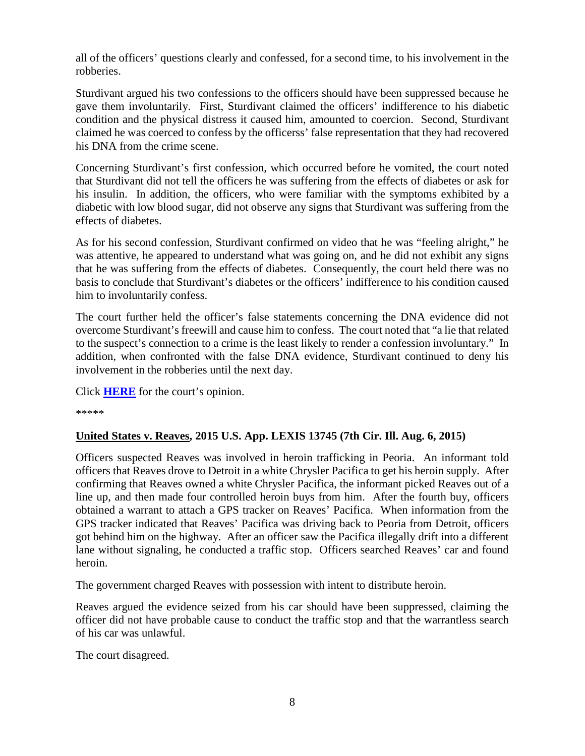all of the officers' questions clearly and confessed, for a second time, to his involvement in the robberies.

Sturdivant argued his two confessions to the officers should have been suppressed because he gave them involuntarily. First, Sturdivant claimed the officers' indifference to his diabetic condition and the physical distress it caused him, amounted to coercion. Second, Sturdivant claimed he was coerced to confess by the officerss' false representation that they had recovered his DNA from the crime scene.

Concerning Sturdivant's first confession, which occurred before he vomited, the court noted that Sturdivant did not tell the officers he was suffering from the effects of diabetes or ask for his insulin. In addition, the officers, who were familiar with the symptoms exhibited by a diabetic with low blood sugar, did not observe any signs that Sturdivant was suffering from the effects of diabetes.

As for his second confession, Sturdivant confirmed on video that he was "feeling alright," he was attentive, he appeared to understand what was going on, and he did not exhibit any signs that he was suffering from the effects of diabetes. Consequently, the court held there was no basis to conclude that Sturdivant's diabetes or the officers' indifference to his condition caused him to involuntarily confess.

The court further held the officer's false statements concerning the DNA evidence did not overcome Sturdivant's freewill and cause him to confess. The court noted that "a lie that related to the suspect's connection to a crime is the least likely to render a confession involuntary." In addition, when confronted with the false DNA evidence, Sturdivant continued to deny his involvement in the robberies until the next day.

Click **[HERE](http://cases.justia.com/federal/appellate-courts/ca7/15-1059/15-1059-2015-08-04.pdf?ts=1438721107)** for the court's opinion.

\*\*\*\*\*

#### <span id="page-7-0"></span>**United States v. Reaves, 2015 U.S. App. LEXIS 13745 (7th Cir. Ill. Aug. 6, 2015)**

Officers suspected Reaves was involved in heroin trafficking in Peoria. An informant told officers that Reaves drove to Detroit in a white Chrysler Pacifica to get his heroin supply. After confirming that Reaves owned a white Chrysler Pacifica, the informant picked Reaves out of a line up, and then made four controlled heroin buys from him. After the fourth buy, officers obtained a warrant to attach a GPS tracker on Reaves' Pacifica. When information from the GPS tracker indicated that Reaves' Pacifica was driving back to Peoria from Detroit, officers got behind him on the highway. After an officer saw the Pacifica illegally drift into a different lane without signaling, he conducted a traffic stop. Officers searched Reaves' car and found heroin.

The government charged Reaves with possession with intent to distribute heroin.

Reaves argued the evidence seized from his car should have been suppressed, claiming the officer did not have probable cause to conduct the traffic stop and that the warrantless search of his car was unlawful.

The court disagreed.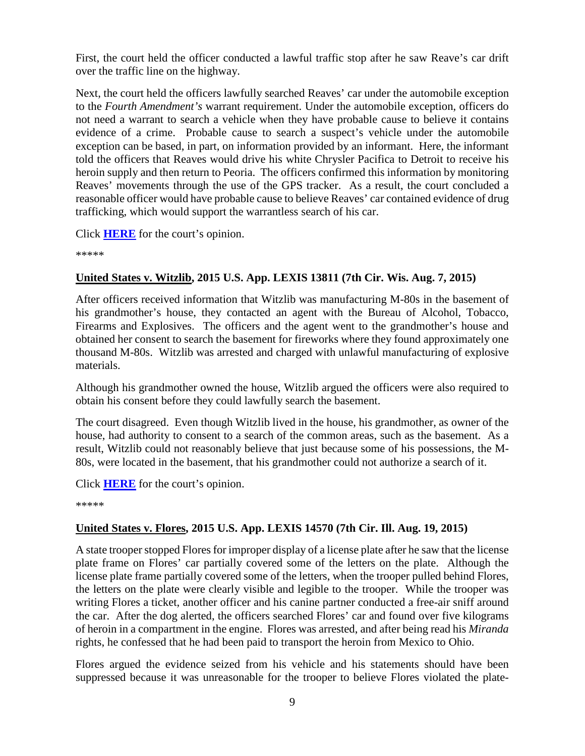First, the court held the officer conducted a lawful traffic stop after he saw Reave's car drift over the traffic line on the highway.

Next, the court held the officers lawfully searched Reaves' car under the automobile exception to the *Fourth Amendment's* warrant requirement. Under the automobile exception, officers do not need a warrant to search a vehicle when they have probable cause to believe it contains evidence of a crime. Probable cause to search a suspect's vehicle under the automobile exception can be based, in part, on information provided by an informant. Here, the informant told the officers that Reaves would drive his white Chrysler Pacifica to Detroit to receive his heroin supply and then return to Peoria. The officers confirmed this information by monitoring Reaves' movements through the use of the GPS tracker. As a result, the court concluded a reasonable officer would have probable cause to believe Reaves' car contained evidence of drug trafficking, which would support the warrantless search of his car.

Click **[HERE](http://cases.justia.com/federal/appellate-courts/ca7/14-3554/14-3554-2015-08-06.pdf?ts=1438891277)** for the court's opinion.

\*\*\*\*\*

#### <span id="page-8-0"></span>**United States v. Witzlib, 2015 U.S. App. LEXIS 13811 (7th Cir. Wis. Aug. 7, 2015)**

After officers received information that Witzlib was manufacturing M-80s in the basement of his grandmother's house, they contacted an agent with the Bureau of Alcohol, Tobacco, Firearms and Explosives. The officers and the agent went to the grandmother's house and obtained her consent to search the basement for fireworks where they found approximately one thousand M-80s. Witzlib was arrested and charged with unlawful manufacturing of explosive materials.

Although his grandmother owned the house, Witzlib argued the officers were also required to obtain his consent before they could lawfully search the basement.

The court disagreed. Even though Witzlib lived in the house, his grandmother, as owner of the house, had authority to consent to a search of the common areas, such as the basement. As a result, Witzlib could not reasonably believe that just because some of his possessions, the M-80s, were located in the basement, that his grandmother could not authorize a search of it.

Click **[HERE](http://cases.justia.com/federal/appellate-courts/ca7/15-1115/15-1115-2015-08-07.pdf?ts=1438963279)** for the court's opinion.

\*\*\*\*\*

#### <span id="page-8-1"></span>**United States v. Flores, 2015 U.S. App. LEXIS 14570 (7th Cir. Ill. Aug. 19, 2015)**

A state trooper stopped Flores for improper display of a license plate after he saw that the license plate frame on Flores' car partially covered some of the letters on the plate. Although the license plate frame partially covered some of the letters, when the trooper pulled behind Flores, the letters on the plate were clearly visible and legible to the trooper. While the trooper was writing Flores a ticket, another officer and his canine partner conducted a free-air sniff around the car. After the dog alerted, the officers searched Flores' car and found over five kilograms of heroin in a compartment in the engine. Flores was arrested, and after being read his *Miranda* rights, he confessed that he had been paid to transport the heroin from Mexico to Ohio.

Flores argued the evidence seized from his vehicle and his statements should have been suppressed because it was unreasonable for the trooper to believe Flores violated the plate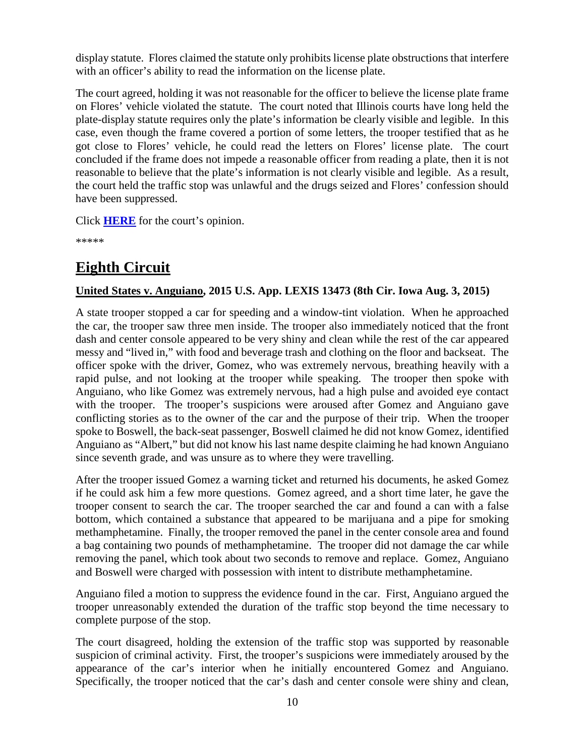display statute. Flores claimed the statute only prohibits license plate obstructions that interfere with an officer's ability to read the information on the license plate.

The court agreed, holding it was not reasonable for the officer to believe the license plate frame on Flores' vehicle violated the statute. The court noted that Illinois courts have long held the plate-display statute requires only the plate's information be clearly visible and legible. In this case, even though the frame covered a portion of some letters, the trooper testified that as he got close to Flores' vehicle, he could read the letters on Flores' license plate. The court concluded if the frame does not impede a reasonable officer from reading a plate, then it is not reasonable to believe that the plate's information is not clearly visible and legible. As a result, the court held the traffic stop was unlawful and the drugs seized and Flores' confession should have been suppressed.

Click **[HERE](http://cases.justia.com/federal/appellate-courts/ca7/15-1515/15-1515-2015-08-19.pdf?ts=1440021664)** for the court's opinion.

\*\*\*\*\*

# <span id="page-9-0"></span>**Eighth Circuit**

#### <span id="page-9-1"></span>**United States v. Anguiano, 2015 U.S. App. LEXIS 13473 (8th Cir. Iowa Aug. 3, 2015)**

A state trooper stopped a car for speeding and a window-tint violation. When he approached the car, the trooper saw three men inside. The trooper also immediately noticed that the front dash and center console appeared to be very shiny and clean while the rest of the car appeared messy and "lived in," with food and beverage trash and clothing on the floor and backseat. The officer spoke with the driver, Gomez, who was extremely nervous, breathing heavily with a rapid pulse, and not looking at the trooper while speaking. The trooper then spoke with Anguiano, who like Gomez was extremely nervous, had a high pulse and avoided eye contact with the trooper. The trooper's suspicions were aroused after Gomez and Anguiano gave conflicting stories as to the owner of the car and the purpose of their trip. When the trooper spoke to Boswell, the back-seat passenger, Boswell claimed he did not know Gomez, identified Anguiano as "Albert," but did not know his last name despite claiming he had known Anguiano since seventh grade, and was unsure as to where they were travelling.

After the trooper issued Gomez a warning ticket and returned his documents, he asked Gomez if he could ask him a few more questions. Gomez agreed, and a short time later, he gave the trooper consent to search the car. The trooper searched the car and found a can with a false bottom, which contained a substance that appeared to be marijuana and a pipe for smoking methamphetamine. Finally, the trooper removed the panel in the center console area and found a bag containing two pounds of methamphetamine. The trooper did not damage the car while removing the panel, which took about two seconds to remove and replace. Gomez, Anguiano and Boswell were charged with possession with intent to distribute methamphetamine.

Anguiano filed a motion to suppress the evidence found in the car. First, Anguiano argued the trooper unreasonably extended the duration of the traffic stop beyond the time necessary to complete purpose of the stop.

The court disagreed, holding the extension of the traffic stop was supported by reasonable suspicion of criminal activity. First, the trooper's suspicions were immediately aroused by the appearance of the car's interior when he initially encountered Gomez and Anguiano. Specifically, the trooper noticed that the car's dash and center console were shiny and clean,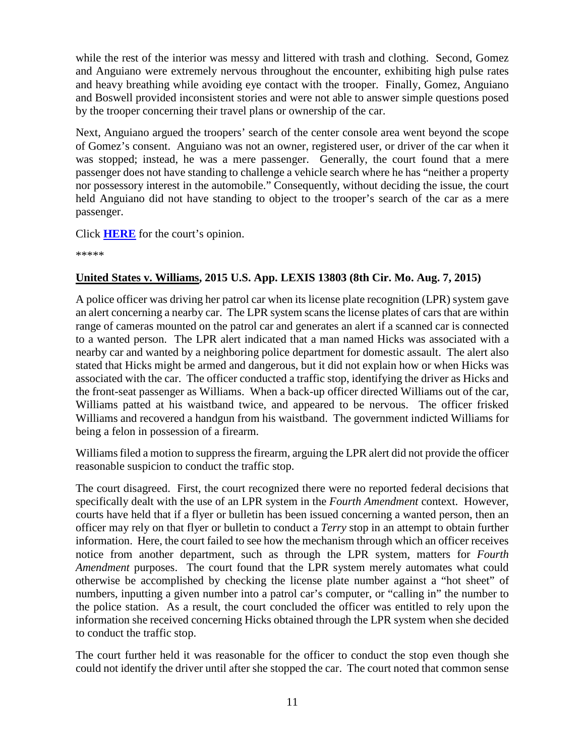while the rest of the interior was messy and littered with trash and clothing. Second, Gomez and Anguiano were extremely nervous throughout the encounter, exhibiting high pulse rates and heavy breathing while avoiding eye contact with the trooper. Finally, Gomez, Anguiano and Boswell provided inconsistent stories and were not able to answer simple questions posed by the trooper concerning their travel plans or ownership of the car.

Next, Anguiano argued the troopers' search of the center console area went beyond the scope of Gomez's consent. Anguiano was not an owner, registered user, or driver of the car when it was stopped; instead, he was a mere passenger. Generally, the court found that a mere passenger does not have standing to challenge a vehicle search where he has "neither a property nor possessory interest in the automobile." Consequently, without deciding the issue, the court held Anguiano did not have standing to object to the trooper's search of the car as a mere passenger.

Click **[HERE](http://cases.justia.com/federal/appellate-courts/ca8/14-2955/14-2955-2015-08-03.pdf?ts=1438615889)** for the court's opinion.

\*\*\*\*\*

#### <span id="page-10-0"></span>**United States v. Williams, 2015 U.S. App. LEXIS 13803 (8th Cir. Mo. Aug. 7, 2015)**

A police officer was driving her patrol car when its license plate recognition (LPR) system gave an alert concerning a nearby car. The LPR system scans the license plates of cars that are within range of cameras mounted on the patrol car and generates an alert if a scanned car is connected to a wanted person. The LPR alert indicated that a man named Hicks was associated with a nearby car and wanted by a neighboring police department for domestic assault. The alert also stated that Hicks might be armed and dangerous, but it did not explain how or when Hicks was associated with the car. The officer conducted a traffic stop, identifying the driver as Hicks and the front-seat passenger as Williams. When a back-up officer directed Williams out of the car, Williams patted at his waistband twice, and appeared to be nervous. The officer frisked Williams and recovered a handgun from his waistband. The government indicted Williams for being a felon in possession of a firearm.

Williams filed a motion to suppress the firearm, arguing the LPR alert did not provide the officer reasonable suspicion to conduct the traffic stop.

The court disagreed. First, the court recognized there were no reported federal decisions that specifically dealt with the use of an LPR system in the *Fourth Amendment* context. However, courts have held that if a flyer or bulletin has been issued concerning a wanted person, then an officer may rely on that flyer or bulletin to conduct a *Terry* stop in an attempt to obtain further information. Here, the court failed to see how the mechanism through which an officer receives notice from another department, such as through the LPR system, matters for *Fourth Amendment* purposes. The court found that the LPR system merely automates what could otherwise be accomplished by checking the license plate number against a "hot sheet" of numbers, inputting a given number into a patrol car's computer, or "calling in" the number to the police station. As a result, the court concluded the officer was entitled to rely upon the information she received concerning Hicks obtained through the LPR system when she decided to conduct the traffic stop.

The court further held it was reasonable for the officer to conduct the stop even though she could not identify the driver until after she stopped the car. The court noted that common sense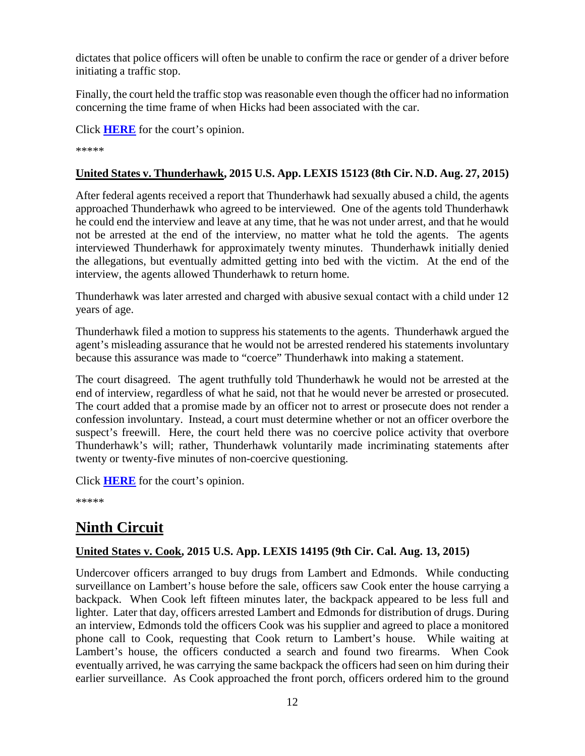dictates that police officers will often be unable to confirm the race or gender of a driver before initiating a traffic stop.

Finally, the court held the traffic stop was reasonable even though the officer had no information concerning the time frame of when Hicks had been associated with the car.

Click **[HERE](http://cases.justia.com/federal/appellate-courts/ca8/14-3532/14-3532-2015-08-07.pdf?ts=1438961452)** for the court's opinion.

\*\*\*\*\*

#### <span id="page-11-0"></span>**United States v. Thunderhawk, 2015 U.S. App. LEXIS 15123 (8th Cir. N.D. Aug. 27, 2015)**

After federal agents received a report that Thunderhawk had sexually abused a child, the agents approached Thunderhawk who agreed to be interviewed. One of the agents told Thunderhawk he could end the interview and leave at any time, that he was not under arrest, and that he would not be arrested at the end of the interview, no matter what he told the agents. The agents interviewed Thunderhawk for approximately twenty minutes. Thunderhawk initially denied the allegations, but eventually admitted getting into bed with the victim. At the end of the interview, the agents allowed Thunderhawk to return home.

Thunderhawk was later arrested and charged with abusive sexual contact with a child under 12 years of age.

Thunderhawk filed a motion to suppress his statements to the agents. Thunderhawk argued the agent's misleading assurance that he would not be arrested rendered his statements involuntary because this assurance was made to "coerce" Thunderhawk into making a statement.

The court disagreed. The agent truthfully told Thunderhawk he would not be arrested at the end of interview, regardless of what he said, not that he would never be arrested or prosecuted. The court added that a promise made by an officer not to arrest or prosecute does not render a confession involuntary. Instead, a court must determine whether or not an officer overbore the suspect's freewill. Here, the court held there was no coercive police activity that overbore Thunderhawk's will; rather, Thunderhawk voluntarily made incriminating statements after twenty or twenty-five minutes of non-coercive questioning.

Click **[HERE](http://cases.justia.com/federal/appellate-courts/ca8/14-3136/14-3136-2015-08-27.pdf?ts=1440689462)** for the court's opinion.

\*\*\*\*\*

# <span id="page-11-1"></span>**Ninth Circuit**

#### <span id="page-11-2"></span>**United States v. Cook, 2015 U.S. App. LEXIS 14195 (9th Cir. Cal. Aug. 13, 2015)**

Undercover officers arranged to buy drugs from Lambert and Edmonds. While conducting surveillance on Lambert's house before the sale, officers saw Cook enter the house carrying a backpack. When Cook left fifteen minutes later, the backpack appeared to be less full and lighter. Later that day, officers arrested Lambert and Edmonds for distribution of drugs. During an interview, Edmonds told the officers Cook was his supplier and agreed to place a monitored phone call to Cook, requesting that Cook return to Lambert's house. While waiting at Lambert's house, the officers conducted a search and found two firearms. When Cook eventually arrived, he was carrying the same backpack the officers had seen on him during their earlier surveillance. As Cook approached the front porch, officers ordered him to the ground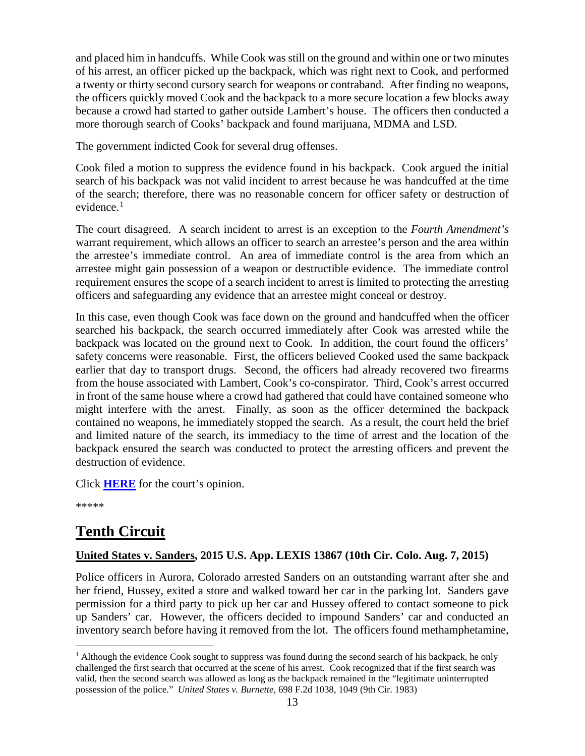and placed him in handcuffs. While Cook was still on the ground and within one or two minutes of his arrest, an officer picked up the backpack, which was right next to Cook, and performed a twenty or thirty second cursory search for weapons or contraband. After finding no weapons, the officers quickly moved Cook and the backpack to a more secure location a few blocks away because a crowd had started to gather outside Lambert's house. The officers then conducted a more thorough search of Cooks' backpack and found marijuana, MDMA and LSD.

The government indicted Cook for several drug offenses.

Cook filed a motion to suppress the evidence found in his backpack. Cook argued the initial search of his backpack was not valid incident to arrest because he was handcuffed at the time of the search; therefore, there was no reasonable concern for officer safety or destruction of evidence. [1](#page-12-2)

The court disagreed. A search incident to arrest is an exception to the *Fourth Amendment's* warrant requirement, which allows an officer to search an arrestee's person and the area within the arrestee's immediate control. An area of immediate control is the area from which an arrestee might gain possession of a weapon or destructible evidence. The immediate control requirement ensures the scope of a search incident to arrest is limited to protecting the arresting officers and safeguarding any evidence that an arrestee might conceal or destroy.

In this case, even though Cook was face down on the ground and handcuffed when the officer searched his backpack, the search occurred immediately after Cook was arrested while the backpack was located on the ground next to Cook. In addition, the court found the officers' safety concerns were reasonable. First, the officers believed Cooked used the same backpack earlier that day to transport drugs. Second, the officers had already recovered two firearms from the house associated with Lambert, Cook's co-conspirator. Third, Cook's arrest occurred in front of the same house where a crowd had gathered that could have contained someone who might interfere with the arrest. Finally, as soon as the officer determined the backpack contained no weapons, he immediately stopped the search. As a result, the court held the brief and limited nature of the search, its immediacy to the time of arrest and the location of the backpack ensured the search was conducted to protect the arresting officers and prevent the destruction of evidence.

Click **[HERE](http://cases.justia.com/federal/appellate-courts/ca9/13-10233/13-10233-2015-08-13.pdf?ts=1439485482)** for the court's opinion.

\*\*\*\*\*

# <span id="page-12-0"></span>**Tenth Circuit**

#### <span id="page-12-1"></span>**United States v. Sanders, 2015 U.S. App. LEXIS 13867 (10th Cir. Colo. Aug. 7, 2015)**

Police officers in Aurora, Colorado arrested Sanders on an outstanding warrant after she and her friend, Hussey, exited a store and walked toward her car in the parking lot. Sanders gave permission for a third party to pick up her car and Hussey offered to contact someone to pick up Sanders' car. However, the officers decided to impound Sanders' car and conducted an inventory search before having it removed from the lot. The officers found methamphetamine,

<span id="page-12-2"></span> $<sup>1</sup>$  Although the evidence Cook sought to suppress was found during the second search of his backpack, he only</sup> challenged the first search that occurred at the scene of his arrest. Cook recognized that if the first search was valid, then the second search was allowed as long as the backpack remained in the "legitimate uninterrupted possession of the police." *United States v. Burnette*, 698 F.2d 1038, 1049 (9th Cir. 1983)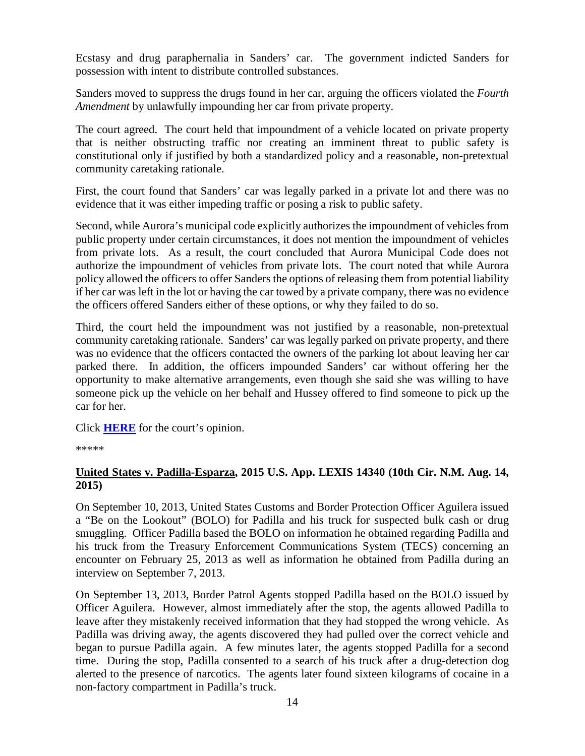Ecstasy and drug paraphernalia in Sanders' car. The government indicted Sanders for possession with intent to distribute controlled substances.

Sanders moved to suppress the drugs found in her car, arguing the officers violated the *Fourth Amendment* by unlawfully impounding her car from private property.

The court agreed. The court held that impoundment of a vehicle located on private property that is neither obstructing traffic nor creating an imminent threat to public safety is constitutional only if justified by both a standardized policy and a reasonable, non-pretextual community caretaking rationale.

First, the court found that Sanders' car was legally parked in a private lot and there was no evidence that it was either impeding traffic or posing a risk to public safety.

Second, while Aurora's municipal code explicitly authorizes the impoundment of vehicles from public property under certain circumstances, it does not mention the impoundment of vehicles from private lots. As a result, the court concluded that Aurora Municipal Code does not authorize the impoundment of vehicles from private lots. The court noted that while Aurora policy allowed the officers to offer Sanders the options of releasing them from potential liability if her car was left in the lot or having the car towed by a private company, there was no evidence the officers offered Sanders either of these options, or why they failed to do so.

Third, the court held the impoundment was not justified by a reasonable, non-pretextual community caretaking rationale. Sanders' car was legally parked on private property, and there was no evidence that the officers contacted the owners of the parking lot about leaving her car parked there. In addition, the officers impounded Sanders' car without offering her the opportunity to make alternative arrangements, even though she said she was willing to have someone pick up the vehicle on her behalf and Hussey offered to find someone to pick up the car for her.

Click **[HERE](http://cases.justia.com/federal/appellate-courts/ca10/14-1296/14-1296-2015-08-07.pdf?ts=1438963318)** for the court's opinion.

\*\*\*\*\*

#### <span id="page-13-0"></span>**United States v. Padilla-Esparza, 2015 U.S. App. LEXIS 14340 (10th Cir. N.M. Aug. 14, 2015)**

On September 10, 2013, United States Customs and Border Protection Officer Aguilera issued a "Be on the Lookout" (BOLO) for Padilla and his truck for suspected bulk cash or drug smuggling. Officer Padilla based the BOLO on information he obtained regarding Padilla and his truck from the Treasury Enforcement Communications System (TECS) concerning an encounter on February 25, 2013 as well as information he obtained from Padilla during an interview on September 7, 2013.

On September 13, 2013, Border Patrol Agents stopped Padilla based on the BOLO issued by Officer Aguilera. However, almost immediately after the stop, the agents allowed Padilla to leave after they mistakenly received information that they had stopped the wrong vehicle. As Padilla was driving away, the agents discovered they had pulled over the correct vehicle and began to pursue Padilla again. A few minutes later, the agents stopped Padilla for a second time. During the stop, Padilla consented to a search of his truck after a drug-detection dog alerted to the presence of narcotics. The agents later found sixteen kilograms of cocaine in a non-factory compartment in Padilla's truck.